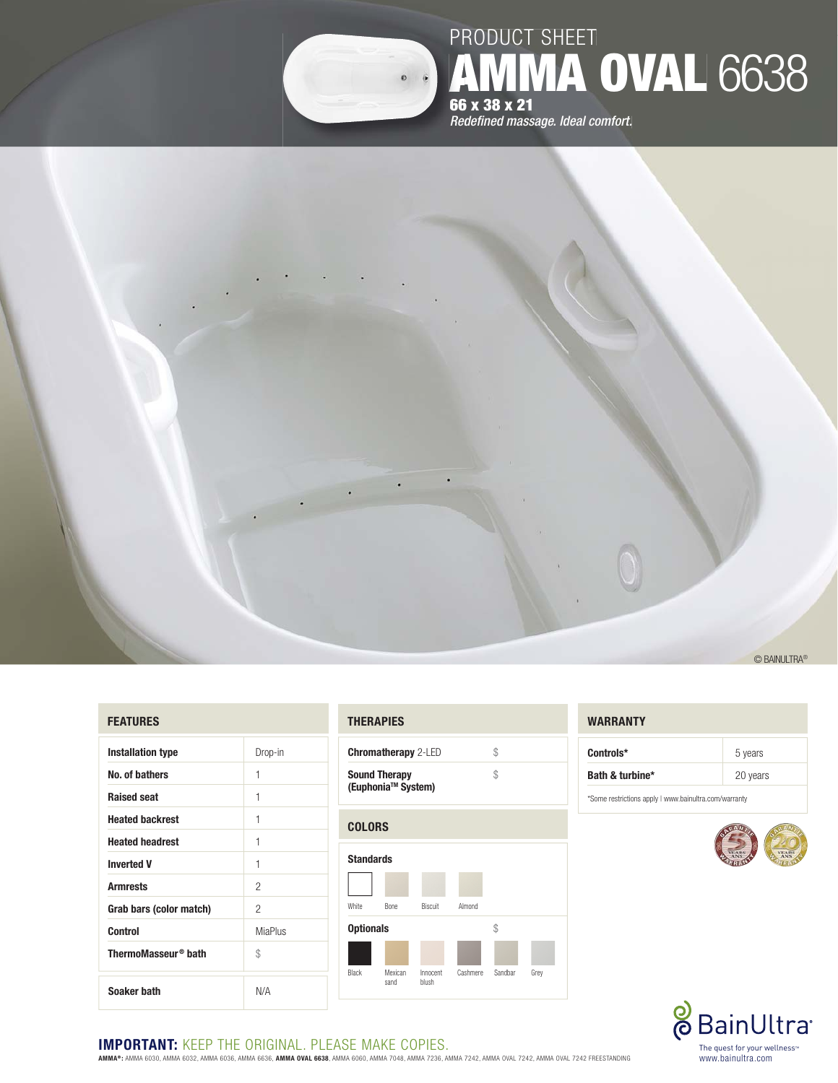

# PRODUCT SHEET PR **AMMA OVAL** 6638 **66 x 38 x 21 66**

**Redefined massage. Ideal comfort.** 



#### **FEATURES**

| <b>Installation type</b>        | Drop-in |
|---------------------------------|---------|
| No. of bathers                  | 1       |
| <b>Raised seat</b>              | 1       |
| <b>Heated backrest</b>          | 1       |
| <b>Heated headrest</b>          | 1       |
| <b>Inverted V</b>               | 1       |
| <b>Armrests</b>                 | 2       |
| Grab bars (color match)         | 2       |
| <b>MiaPlus</b><br>Control       |         |
| ThermoMasseur <sup>®</sup> bath | \$      |
| Soaker bath                     | N/A     |

## **THERAPIES**

| <b>Chromatherapy</b> 2-LED                             |  |
|--------------------------------------------------------|--|
| <b>Sound Therapy</b><br>(Euphonia <sup>™</sup> System) |  |
|                                                        |  |
|                                                        |  |



## **WARRANTY**

| Controls*       | 5 years  |
|-----------------|----------|
| Bath & turbine* | 20 years |

\* Some restrictions apply | www.bainultra.com/warranty





# **IMPORTANT: KEEP THE ORIGINAL. PLEASE MAKE COPIES.**

**AMMA® :** AMMA 6030, AMMA 6032, AMMA 6036, AMMA 6636, **AMMA OVAL 6638**, AMMA 6060, AMMA 7048, AMMA 7236, AMMA 7242, AMMA OVAL 7242, AMMA OVAL 7242 FREESTANDING